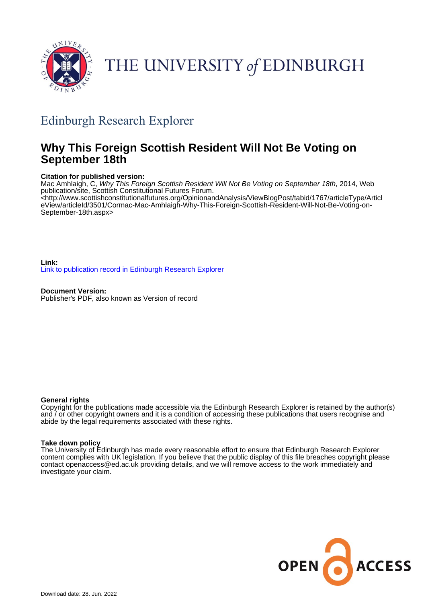

# THE UNIVERSITY of EDINBURGH

# Edinburgh Research Explorer

# **Why This Foreign Scottish Resident Will Not Be Voting on September 18th**

## **Citation for published version:**

Mac Amhlaigh, C, Why This Foreign Scottish Resident Will Not Be Voting on September 18th, 2014, Web publication/site, Scottish Constitutional Futures Forum. <[http://www.scottishconstitutionalfutures.org/OpinionandAnalysis/ViewBlogPost/tabid/1767/articleType/Articl](http://www.scottishconstitutionalfutures.org/OpinionandAnalysis/ViewBlogPost/tabid/1767/articleType/ArticleView/articleId/3501/Cormac-Mac-Amhlaigh-Why-This-Foreign-Scottish-Resident-Will-Not-Be-Voting-on-September-18th.aspx) [eView/articleId/3501/Cormac-Mac-Amhlaigh-Why-This-Foreign-Scottish-Resident-Will-Not-Be-Voting-on-](http://www.scottishconstitutionalfutures.org/OpinionandAnalysis/ViewBlogPost/tabid/1767/articleType/ArticleView/articleId/3501/Cormac-Mac-Amhlaigh-Why-This-Foreign-Scottish-Resident-Will-Not-Be-Voting-on-September-18th.aspx)[September-18th.aspx>](http://www.scottishconstitutionalfutures.org/OpinionandAnalysis/ViewBlogPost/tabid/1767/articleType/ArticleView/articleId/3501/Cormac-Mac-Amhlaigh-Why-This-Foreign-Scottish-Resident-Will-Not-Be-Voting-on-September-18th.aspx)

**Link:** [Link to publication record in Edinburgh Research Explorer](https://www.research.ed.ac.uk/en/publications/360e83b9-6555-4a58-b55e-710500926e1c)

**Document Version:** Publisher's PDF, also known as Version of record

### **General rights**

Copyright for the publications made accessible via the Edinburgh Research Explorer is retained by the author(s) and / or other copyright owners and it is a condition of accessing these publications that users recognise and abide by the legal requirements associated with these rights.

### **Take down policy**

The University of Edinburgh has made every reasonable effort to ensure that Edinburgh Research Explorer content complies with UK legislation. If you believe that the public display of this file breaches copyright please contact openaccess@ed.ac.uk providing details, and we will remove access to the work immediately and investigate your claim.

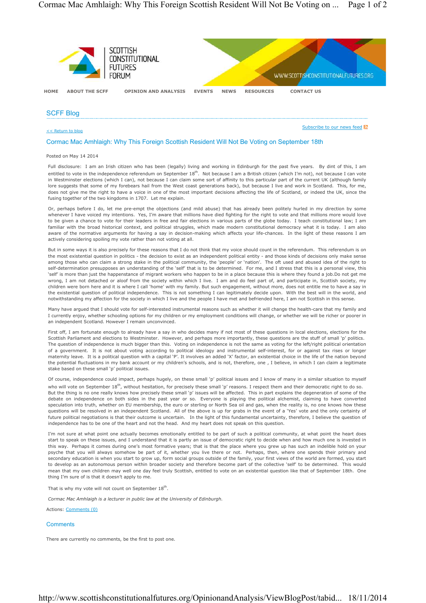

#### SCFF Blog

<< Return to blog

Subscribe to our news feed **N** 

#### Cormac Mac Amhlaigh: Why This Foreign Scottish Resident Will Not Be Voting on September 18th

#### Posted on May 14 2014

Full disclosure: I am an Irish citizen who has been (legally) living and working in Edinburgh for the past five years. By dint of this, I am entitled to vote in the independence referendum on September 18<sup>th</sup>. Not because I am a British citizen (which I'm not), not because I can vote in Westminster elections (which I can), not because I can claim some sort of affinity to this particular part of the current UK (although family lore suggests that some of my forebears hail from the West coast generations back), but because I live and work in Scotland. This, for me, does not give me the right to have a voice in one of the most important decisions affecting the life of Scotland, or indeed the UK, since the fusing together of the two kingdoms in 1707. Let me explain.

Or, perhaps before I do, let me pre-empt the objections (and mild abuse) that has already been politely hurled in my direction by some whenever I have voiced my intentions. Yes, I'm aware that millions have died fighting for the right to vote and that millions more would love to be given a chance to vote for their leaders in free and fair elections in various parts of the globe today. I teach constitutional law; I am familiar with the broad historical context, and political struggles, which made modern constitutional democracy what it is today. I am also aware of the normative arguments for having a say in decision-making which affects your life-chances. In the light of these reasons I am actively considering spoiling my vote rather than not voting at all.

But in some ways it is also precisely for these reasons that I do not think that my voice should count in the referendum. This referendum is on the most existential question in politics - the decision to exist as an independent political entity - and those kinds of decisions only make sense among those who can claim a strong stake in the political community, the 'people' or 'nation'. The oft used and abused idea of the right to self-determination presupposes an understanding of the 'self' that is to be determined. For me, and I stress that this is a personal view, this 'self' is more than just the happenstance of migrant workers who happen to be in a place because this is where they found a job.Do not get me wrong, I am not detached or aloof from the society within which I live. I am and do feel part of, and participate in, Scottish society, my children were born here and it is where I call 'home' with my family. But such engagement, without more, does not entitle me to have a say in the existential question of political independence. This is not something I can legitimately decide upon. With the best will in the world, and notwithstanding my affection for the society in which I live and the people I have met and befriended here, I am not Scottish in this sense.

Many have argued that I should vote for self-interested instrumental reasons such as whether it will change the health-care that my family and I currently enjoy, whether schooling options for my children or my employment conditions will change, or whether we will be richer or poorer in an independent Scotland. However I remain unconvinced.

First off, I am fortunate enough to already have a say in who decides many if not most of these questions in local elections, elections for the Scottish Parliament and elections to Westminster. However, and perhaps more importantly, these questions are the stuff of small 'p' politics. The question of independence is much bigger than this. Voting on independence is not the same as voting for the left/right political orientation of a government. It is not about voting according to political ideology and instrumental self-interest, for or against tax rises or longer maternity leave. It is a political question with a capital 'P'. It involves an added 'X' factor, an existential choice in the life of the nation beyond the potential fluctuations in my bank account or my children's schools, and is not, therefore, one , I believe, in which I can claim a legitimate stake based on these small 'p' political issues.

Of course, independence could impact, perhaps hugely, on these small 'p' political issues and I know of many in a similar situation to myself who will vote on September 18<sup>th</sup>, without hesitation, for precisely these small 'n' reasons. I respect them and their democratic right to do so. But the thing is no one really knows how precisely these small 'p' issues will be affected. This in part explains the degeneration of some of the debate on independence on both sides in the past year or so. Everyone is playing the political alchemist, claiming to have converted speculation into truth, whether on EU membership, the euro or sterling or North Sea oil and gas, when the reality is, no one knows how these questions will be resolved in an independent Scotland. All of the above is up for grabs in the event of a 'Yes' vote and the only certainty of future political negotiations is that their outcome is uncertain. In the light of this fundamental uncertainty, therefore, I believe the question of independence has to be one of the heart and not the head. And my heart does not speak on this question.

I'm not sure at what point one actually becomes emotionally entitled to be part of such a political community, at what point the heart does start to speak on these issues, and I understand that it is partly an issue of democratic right to decide when and how much one is invested in this way. Perhaps it comes during one's most formative years; that is that the place where you grew up has such an indelible hold on your psyche that you will always somehow be part of it, whether you live there or not. Perhaps, then, where one spends their primary and secondary education is when you start to grow up, form social groups outside of the family, your first views of the world are formed, you start to develop as an autonomous person within broader society and therefore become part of the collective 'self' to be determined. This would mean that my own children may well one day feel truly Scottish, entitled to vote on an existential question like that of September 18th. One thing I'm sure of is that it doesn't apply to me.

That is why my vote will not count on September  $18^{\text{th}}$ .

*Cormac Mac Amhlaigh is a lecturer in public law at the University of Edinburgh.*

Actions: Comments (0)

#### **Comments**

There are currently no comments, be the first to post one.